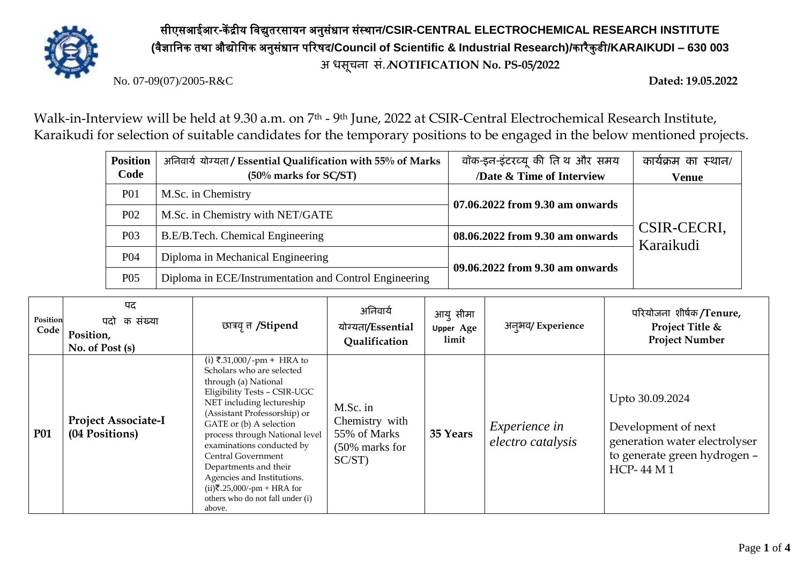

## सीएसआईआर**-**कें द्रीय विद्युतरसायन अनुसंधान संस्थान**/CSIR-CENTRAL ELECTROCHEMICAL RESEARCH INSTITUTE (**िैज्ञावनक तथा औद्योविक अनुसंधान पररषद**/Council of Scientific & Industrial Research)/**कारैकु डी**/KARAIKUDI – 630 003 अ िसूचना सं./NOTIFICATION No. PS-05/2022**

No. 07-09(07)/2005-R&C **Dated: 19.05.2022**

Walk-in-Interview will be held at 9.30 a.m. on 7<sup>th</sup> - 9<sup>th</sup> June, 2022 at CSIR-Central Electrochemical Research Institute, Karaikudi for selection of suitable candidates for the temporary positions to be engaged in the below mentioned projects.

| <b>Position</b>  | अनिवार्य योग्यता / Essential Qualification with 55% of Marks | वॉक-इन-इंटरव्यू की तिथ और समय   | कार्यक्रम का स्थान/      |  |
|------------------|--------------------------------------------------------------|---------------------------------|--------------------------|--|
| Code             | $(50\%$ marks for SC/ST)                                     | /Date & Time of Interview       | <b>Venue</b>             |  |
| <b>P01</b>       | M.Sc. in Chemistry                                           | 07.06.2022 from 9.30 am onwards |                          |  |
| P <sub>0</sub> 2 | M.Sc. in Chemistry with NET/GATE                             |                                 | CSIR-CECRI,<br>Karaikudi |  |
| P <sub>0</sub> 3 | B.E/B.Tech. Chemical Engineering                             | 08.06.2022 from 9.30 am onwards |                          |  |
| <b>P04</b>       | Diploma in Mechanical Engineering                            | 09.06.2022 from 9.30 am onwards |                          |  |
| P <sub>05</sub>  | Diploma in ECE/Instrumentation and Control Engineering       |                                 |                          |  |

| Position<br>Code | पद<br>क संख्या<br>पदो<br>Position,<br>No. of Post (s) | छात्रवृत्त /Stipend                                                                                                                                                                                                                                                                                                                                                                                                               | अनिवार्य<br>योग्यता/Essential<br>Qualification                            | आयु सीमा<br><b>Upper Age</b><br>limit | अनुभव/Experience                          | परियोजना शीर्षक/Tenure,<br>Project Title &<br><b>Project Number</b>                                                         |
|------------------|-------------------------------------------------------|-----------------------------------------------------------------------------------------------------------------------------------------------------------------------------------------------------------------------------------------------------------------------------------------------------------------------------------------------------------------------------------------------------------------------------------|---------------------------------------------------------------------------|---------------------------------------|-------------------------------------------|-----------------------------------------------------------------------------------------------------------------------------|
| <b>P01</b>       | <b>Project Associate-I</b><br>(04 Positions)          | (i) ₹.31,000/-pm + HRA to<br>Scholars who are selected<br>through (a) National<br>Eligibility Tests - CSIR-UGC<br>NET including lectureship<br>(Assistant Professorship) or<br>GATE or (b) A selection<br>process through National level<br>examinations conducted by<br>Central Government<br>Departments and their<br>Agencies and Institutions.<br>$(ii)$ ₹.25,000/-pm + HRA for<br>others who do not fall under (i)<br>above. | M.Sc. in<br>Chemistry with<br>55% of Marks<br>(50% marks for<br>$SC/ST$ ) | 35 Years                              | <i>Experience in</i><br>electro catalysis | Upto 30.09.2024<br>Development of next<br>generation water electrolyser<br>to generate green hydrogen -<br><b>HCP-44 M1</b> |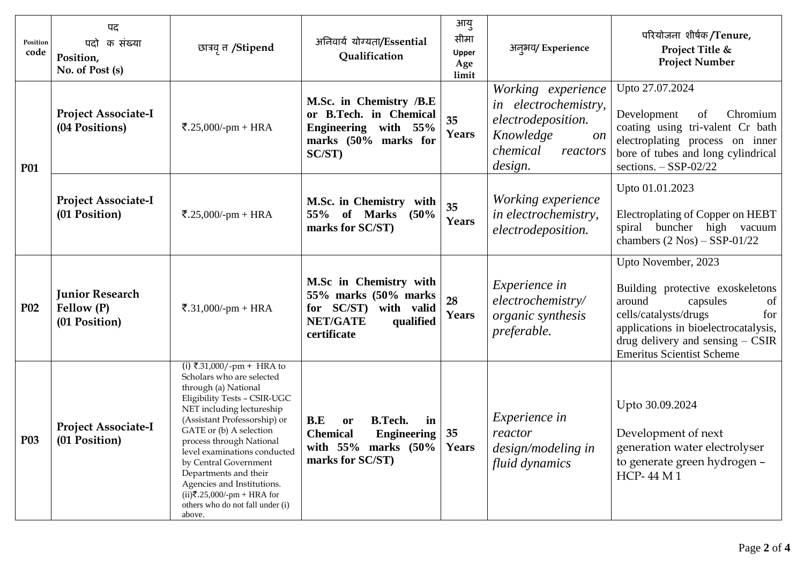| Position<br>code | पद<br>क संख्या<br>पदो<br>Position,<br>No. of Post (s) | छात्रवृत /Stipend                                                                                                                                                                                                                                                                                                                                                                                                                 | अनिवार्य योग्यता/Essential<br>Qualification                                                                                   | आयु<br>सीमा<br><b>Upper</b><br>Age<br>limit | अन्अय/Experience                                                                                                              | परियोजना शीर्षक <b>/Tenure,</b><br>Project Title &<br><b>Project Number</b>                                                                                                                                                           |
|------------------|-------------------------------------------------------|-----------------------------------------------------------------------------------------------------------------------------------------------------------------------------------------------------------------------------------------------------------------------------------------------------------------------------------------------------------------------------------------------------------------------------------|-------------------------------------------------------------------------------------------------------------------------------|---------------------------------------------|-------------------------------------------------------------------------------------------------------------------------------|---------------------------------------------------------------------------------------------------------------------------------------------------------------------------------------------------------------------------------------|
| <b>P01</b>       | <b>Project Associate-I</b><br>(04 Positions)          | ₹.25,000/-pm + HRA                                                                                                                                                                                                                                                                                                                                                                                                                | M.Sc. in Chemistry /B.E<br>or B.Tech. in Chemical<br>Engineering with 55%<br>marks (50% marks for<br>SC/ST)                   | 35<br>Years                                 | Working experience<br>in electrochemistry,<br>electrodeposition.<br>Knowledge<br><i>on</i><br>chemical<br>reactors<br>design. | Upto 27.07.2024<br>Chromium<br>Development<br>of<br>coating using tri-valent Cr bath<br>electroplating process on inner<br>bore of tubes and long cylindrical<br>sections. $-$ SSP-02/22                                              |
|                  | <b>Project Associate-I</b><br>(01 Position)           | ₹.25,000/-pm + HRA                                                                                                                                                                                                                                                                                                                                                                                                                | <b>M.Sc. in Chemistry</b><br>with<br>55% of Marks<br>(50%<br>marks for SC/ST)                                                 | 35<br>Years                                 | Working experience<br>in electrochemistry,<br>electrodeposition.                                                              | Upto 01.01.2023<br>Electroplating of Copper on HEBT<br>spiral buncher high vacuum<br>chambers $(2 \text{ Nos}) -$ SSP-01/22                                                                                                           |
| <b>P02</b>       | <b>Junior Research</b><br>Fellow (P)<br>(01 Position) | ₹.31,000/-pm + HRA                                                                                                                                                                                                                                                                                                                                                                                                                | M.Sc in Chemistry with<br>55% marks (50% marks)<br>for $SC/ST$ )<br>with valid<br><b>NET/GATE</b><br>qualified<br>certificate | 28<br>Years                                 | <i>Experience in</i><br>electrochemistry/<br><i>organic synthesis</i><br>preferable.                                          | Upto November, 2023<br>Building protective exoskeletons<br>around<br>capsules<br>of<br>cells/catalysts/drugs<br>for<br>applications in bioelectrocatalysis,<br>drug delivery and sensing $-$ CSIR<br><b>Emeritus Scientist Scheme</b> |
| <b>P03</b>       | <b>Project Associate-I</b><br>(01 Position)           | (i) ₹.31,000/-pm + HRA to<br>Scholars who are selected<br>through (a) National<br>Eligibility Tests - CSIR-UGC<br>NET including lectureship<br>(Assistant Professorship) or<br>GATE or (b) A selection<br>process through National<br>level examinations conducted<br>by Central Government<br>Departments and their<br>Agencies and Institutions.<br>$(ii)$ ₹.25,000/-pm + HRA for<br>others who do not fall under (i)<br>above. | B.E<br><b>B.Tech.</b><br>in<br>or<br><b>Chemical</b><br><b>Engineering</b><br>with $55\%$ marks $(50\%$<br>marks for SC/ST)   | 35<br>Years                                 | <i>Experience in</i><br>reactor<br>design/modeling in<br>fluid dynamics                                                       | Upto 30.09.2024<br>Development of next<br>generation water electrolyser<br>to generate green hydrogen -<br><b>HCP-44 M1</b>                                                                                                           |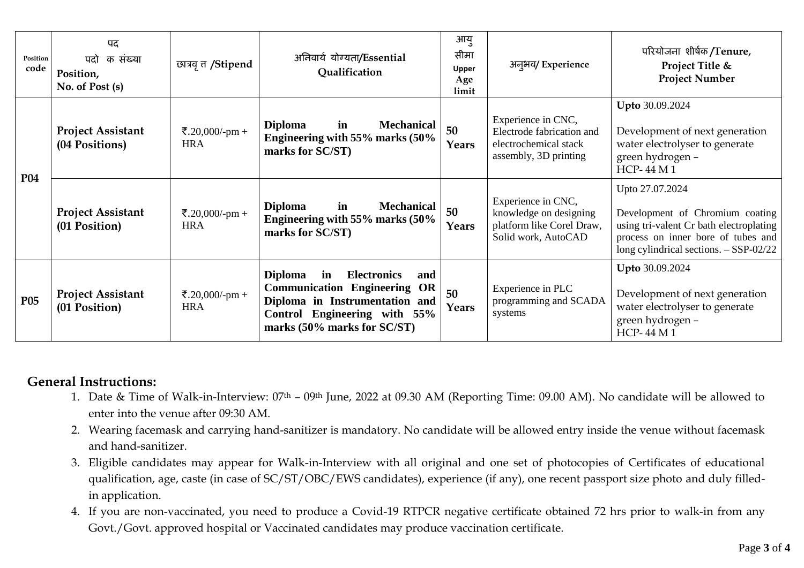| Position<br>code | पद<br>क संख्या<br>पदो<br>Position,<br>No. of Post (s) | छात्रवृ त /Stipend           | अनिवार्य योग्यता/Essential<br>Qualification                                                                                                                                                  | आयु<br>सीमा<br>Upper<br>Age<br>limit | अन् <i>भव</i> /Experience                                                                         | परियोजना शीर्षक/Tenure,<br>Project Title &<br><b>Project Number</b>                                                                                                            |
|------------------|-------------------------------------------------------|------------------------------|----------------------------------------------------------------------------------------------------------------------------------------------------------------------------------------------|--------------------------------------|---------------------------------------------------------------------------------------------------|--------------------------------------------------------------------------------------------------------------------------------------------------------------------------------|
| <b>P04</b>       | <b>Project Assistant</b><br>(04 Positions)            | ₹.20,000/-pm +<br><b>HRA</b> | <b>Mechanical</b><br><b>Diploma</b><br>in<br>Engineering with 55% marks (50%<br>marks for SC/ST)                                                                                             | 50<br>Years                          | Experience in CNC,<br>Electrode fabrication and<br>electrochemical stack<br>assembly, 3D printing | Upto 30.09.2024<br>Development of next generation<br>water electrolyser to generate<br>green hydrogen -<br><b>HCP-44 M1</b>                                                    |
|                  | <b>Project Assistant</b><br>(01 Position)             | ₹.20,000/-pm +<br><b>HRA</b> | <b>Diploma</b><br>in<br><b>Mechanical</b><br>Engineering with 55% marks (50%<br>marks for SC/ST)                                                                                             | 50<br>Years                          | Experience in CNC,<br>knowledge on designing<br>platform like Corel Draw,<br>Solid work, AutoCAD  | Upto 27.07.2024<br>Development of Chromium coating<br>using tri-valent Cr bath electroplating<br>process on inner bore of tubes and<br>long cylindrical sections. $-SSP-02/22$ |
| <b>P05</b>       | <b>Project Assistant</b><br>(01 Position)             | ₹.20,000/-pm +<br><b>HRA</b> | <b>Diploma</b><br><b>Electronics</b><br>in<br>and<br><b>Communication Engineering</b><br>OR<br>Diploma in Instrumentation and<br>Control Engineering with 55%<br>marks (50% marks for SC/ST) | 50<br>Years                          | Experience in PLC<br>programming and SCADA<br>systems                                             | Upto 30.09.2024<br>Development of next generation<br>water electrolyser to generate<br>green hydrogen -<br><b>HCP-44 M1</b>                                                    |

## **General Instructions:**

- 1. Date & Time of Walk-in-Interview: 07th 09th June, 2022 at 09.30 AM (Reporting Time: 09.00 AM). No candidate will be allowed to enter into the venue after 09:30 AM.
- 2. Wearing facemask and carrying hand-sanitizer is mandatory. No candidate will be allowed entry inside the venue without facemask and hand-sanitizer.
- 3. Eligible candidates may appear for Walk-in-Interview with all original and one set of photocopies of Certificates of educational qualification, age, caste (in case of SC/ST/OBC/EWS candidates), experience (if any), one recent passport size photo and duly filledin application.
- 4. If you are non-vaccinated, you need to produce a Covid-19 RTPCR negative certificate obtained 72 hrs prior to walk-in from any Govt./Govt. approved hospital or Vaccinated candidates may produce vaccination certificate.